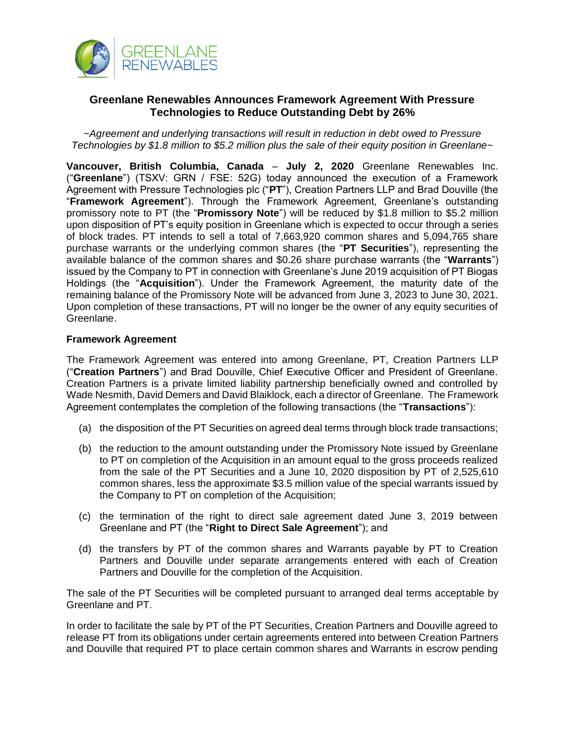

# **Greenlane Renewables Announces Framework Agreement With Pressure Technologies to Reduce Outstanding Debt by 26%**

*~Agreement and underlying transactions will result in reduction in debt owed to Pressure Technologies by \$1.8 million to \$5.2 million plus the sale of their equity position in Greenlane~*

**Vancouver, British Columbia, Canada** – **July 2, 2020** Greenlane Renewables Inc. ("**Greenlane**") (TSXV: GRN / FSE: 52G) today announced the execution of a Framework Agreement with Pressure Technologies plc ("**PT**"), Creation Partners LLP and Brad Douville (the "**Framework Agreement**"). Through the Framework Agreement, Greenlane's outstanding promissory note to PT (the "**Promissory Note**") will be reduced by \$1.8 million to \$5.2 million upon disposition of PT's equity position in Greenlane which is expected to occur through a series of block trades. PT intends to sell a total of 7,663,920 common shares and 5,094,765 share purchase warrants or the underlying common shares (the "**PT Securities**"), representing the available balance of the common shares and \$0.26 share purchase warrants (the "**Warrants**") issued by the Company to PT in connection with Greenlane's June 2019 acquisition of PT Biogas Holdings (the "**Acquisition**"). Under the Framework Agreement, the maturity date of the remaining balance of the Promissory Note will be advanced from June 3, 2023 to June 30, 2021. Upon completion of these transactions, PT will no longer be the owner of any equity securities of Greenlane.

### **Framework Agreement**

The Framework Agreement was entered into among Greenlane, PT, Creation Partners LLP ("**Creation Partners**") and Brad Douville, Chief Executive Officer and President of Greenlane. Creation Partners is a private limited liability partnership beneficially owned and controlled by Wade Nesmith, David Demers and David Blaiklock, each a director of Greenlane. The Framework Agreement contemplates the completion of the following transactions (the "**Transactions**"):

- (a) the disposition of the PT Securities on agreed deal terms through block trade transactions;
- (b) the reduction to the amount outstanding under the Promissory Note issued by Greenlane to PT on completion of the Acquisition in an amount equal to the gross proceeds realized from the sale of the PT Securities and a June 10, 2020 disposition by PT of 2,525,610 common shares, less the approximate \$3.5 million value of the special warrants issued by the Company to PT on completion of the Acquisition;
- (c) the termination of the right to direct sale agreement dated June 3, 2019 between Greenlane and PT (the "**Right to Direct Sale Agreement**"); and
- (d) the transfers by PT of the common shares and Warrants payable by PT to Creation Partners and Douville under separate arrangements entered with each of Creation Partners and Douville for the completion of the Acquisition.

The sale of the PT Securities will be completed pursuant to arranged deal terms acceptable by Greenlane and PT.

In order to facilitate the sale by PT of the PT Securities, Creation Partners and Douville agreed to release PT from its obligations under certain agreements entered into between Creation Partners and Douville that required PT to place certain common shares and Warrants in escrow pending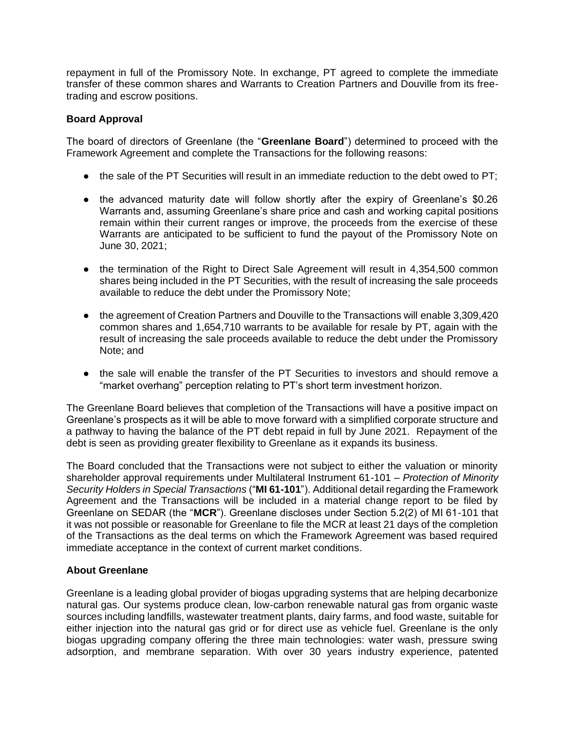repayment in full of the Promissory Note. In exchange, PT agreed to complete the immediate transfer of these common shares and Warrants to Creation Partners and Douville from its freetrading and escrow positions.

## **Board Approval**

The board of directors of Greenlane (the "**Greenlane Board**") determined to proceed with the Framework Agreement and complete the Transactions for the following reasons:

- the sale of the PT Securities will result in an immediate reduction to the debt owed to PT;
- the advanced maturity date will follow shortly after the expiry of Greenlane's \$0.26 Warrants and, assuming Greenlane's share price and cash and working capital positions remain within their current ranges or improve, the proceeds from the exercise of these Warrants are anticipated to be sufficient to fund the payout of the Promissory Note on June 30, 2021;
- the termination of the Right to Direct Sale Agreement will result in 4,354,500 common shares being included in the PT Securities, with the result of increasing the sale proceeds available to reduce the debt under the Promissory Note;
- the agreement of Creation Partners and Douville to the Transactions will enable 3,309,420 common shares and 1,654,710 warrants to be available for resale by PT, again with the result of increasing the sale proceeds available to reduce the debt under the Promissory Note; and
- the sale will enable the transfer of the PT Securities to investors and should remove a "market overhang" perception relating to PT's short term investment horizon.

The Greenlane Board believes that completion of the Transactions will have a positive impact on Greenlane's prospects as it will be able to move forward with a simplified corporate structure and a pathway to having the balance of the PT debt repaid in full by June 2021. Repayment of the debt is seen as providing greater flexibility to Greenlane as it expands its business.

The Board concluded that the Transactions were not subject to either the valuation or minority shareholder approval requirements under Multilateral Instrument 61-101 – *Protection of Minority Security Holders in Special Transactions* ("**MI 61-101**"). Additional detail regarding the Framework Agreement and the Transactions will be included in a material change report to be filed by Greenlane on SEDAR (the "**MCR**"). Greenlane discloses under Section 5.2(2) of MI 61-101 that it was not possible or reasonable for Greenlane to file the MCR at least 21 days of the completion of the Transactions as the deal terms on which the Framework Agreement was based required immediate acceptance in the context of current market conditions.

#### **About Greenlane**

Greenlane is a leading global provider of biogas upgrading systems that are helping decarbonize natural gas. Our systems produce clean, low-carbon renewable natural gas from organic waste sources including landfills, wastewater treatment plants, dairy farms, and food waste, suitable for either injection into the natural gas grid or for direct use as vehicle fuel. Greenlane is the only biogas upgrading company offering the three main technologies: water wash, pressure swing adsorption, and membrane separation. With over 30 years industry experience, patented